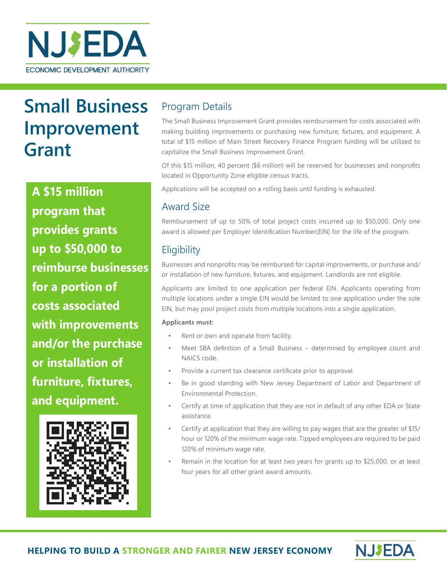

# **Small Business Improvement Grant**

**A \$15 million program that provides grants up to \$50,000 to reimburse businesses for a portion of costs associated with improvements and/or the purchase or installation of furniture, fixtures, and equipment.** 



## Program Details

The Small Business Improvement Grant provides reimbursement for costs associated with making building improvements or purchasing new furniture, fixtures, and equipment. A total of \$15 million of Main Street Recovery Finance Program funding will be utilized to capitalize the Small Business Improvement Grant.

Of this \$15 million, 40 percent (\$6 million) will be reserved for businesses and nonprofits located in Opportunity Zone eligible census tracts.

Applications will be accepted on a rolling basis until funding is exhausted.

## Award Size

Reimbursement of up to 50% of total project costs incurred up to \$50,000. Only one award is allowed per Employer Identification Number(EIN) for the life of the program.

## **Eligibility**

Businesses and nonprofits may be reimbursed for capital improvements, or purchase and/ or installation of new furniture, fixtures, and equipment. Landlords are not eligible.

Applicants are limited to one application per federal EIN. Applicants operating from multiple locations under a single EIN would be limited to one application under the sole EIN, but may pool project costs from multiple locations into a single application.

#### **Applicants must:**

- Rent or own and operate from facility.
- Meet SBA definition of a Small Business determined by employee count and NAICS code.
- Provide a current tax clearance certificate prior to approval.
- Be in good standing with New Jersey Department of Labor and Department of Environmental Protection.
- Certify at time of application that they are not in default of any other EDA or State assistance.
- Certify at application that they are willing to pay wages that are the greater of \$15/ hour or 120% of the minimum wage rate. Tipped employees are required to be paid 120% of minimum wage rate.
- Remain in the location for at least two years for grants up to \$25,000, or at least four years for all other grant award amounts.

**NJ\$EDA**